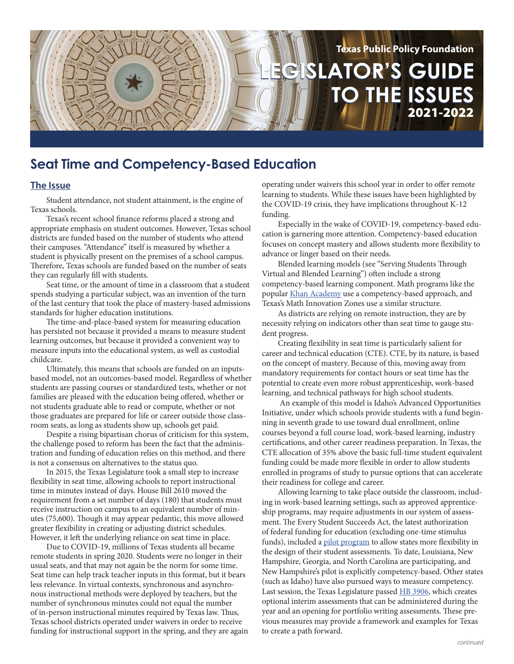

# **Seat Time and Competency-Based Education**

#### **The Issue**

Student attendance, not student attainment, is the engine of Texas schools.

Texas's recent school finance reforms placed a strong and appropriate emphasis on student outcomes. However, Texas school districts are funded based on the number of students who attend their campuses. "Attendance" itself is measured by whether a student is physically present on the premises of a school campus. Therefore, Texas schools are funded based on the number of seats they can regularly fill with students.

Seat time, or the amount of time in a classroom that a student spends studying a particular subject, was an invention of the turn of the last century that took the place of mastery-based admissions standards for higher education institutions.

The time-and-place-based system for measuring education has persisted not because it provided a means to measure student learning outcomes, but because it provided a convenient way to measure inputs into the educational system, as well as custodial childcare.

Ultimately, this means that schools are funded on an inputsbased model, not an outcomes-based model. Regardless of whether students are passing courses or standardized tests, whether or not families are pleased with the education being offered, whether or not students graduate able to read or compute, whether or not those graduates are prepared for life or career outside those classroom seats, as long as students show up, schools get paid.

Despite a rising bipartisan chorus of criticism for this system, the challenge posed to reform has been the fact that the administration and funding of education relies on this method, and there is not a consensus on alternatives to the status quo.

In 2015, the Texas Legislature took a small step to increase flexibility in seat time, allowing schools to report instructional time in minutes instead of days. House Bill 2610 moved the requirement from a set number of days (180) that students must receive instruction on campus to an equivalent number of minutes (75,600). Though it may appear pedantic, this move allowed greater flexibility in creating or adjusting district schedules. However, it left the underlying reliance on seat time in place.

Due to COVID-19, millions of Texas students all became remote students in spring 2020. Students were no longer in their usual seats, and that may not again be the norm for some time. Seat time can help track teacher inputs in this format, but it bears less relevance. In virtual contexts, synchronous and asynchronous instructional methods were deployed by teachers, but the number of synchronous minutes could not equal the number of in-person instructional minutes required by Texas law. Thus, Texas school districts operated under waivers in order to receive funding for instructional support in the spring, and they are again operating under waivers this school year in order to offer remote learning to students. While these issues have been highlighted by the COVID-19 crisis, they have implications throughout K-12 funding.

Especially in the wake of COVID-19, competency-based education is garnering more attention. Competency-based education focuses on concept mastery and allows students more flexibility to advance or linger based on their needs.

Blended learning models (see "Serving Students Through Virtual and Blended Learning") often include a strong competency-based learning component. Math programs like the popular [Khan Academy](https://www.khanacademy.org/) use a competency-based approach, and Texas's Math Innovation Zones use a similar structure.

As districts are relying on remote instruction, they are by necessity relying on indicators other than seat time to gauge student progress.

Creating flexibility in seat time is particularly salient for career and technical education (CTE). CTE, by its nature, is based on the concept of mastery. Because of this, moving away from mandatory requirements for contact hours or seat time has the potential to create even more robust apprenticeship, work-based learning, and technical pathways for high school students.

 An example of this model is Idaho's Advanced Opportunities Initiative, under which schools provide students with a fund beginning in seventh grade to use toward dual enrollment, online courses beyond a full course load, work-based learning, industry certifications, and other career readiness preparation. In Texas, the CTE allocation of 35% above the basic full-time student equivalent funding could be made more flexible in order to allow students enrolled in programs of study to pursue options that can accelerate their readiness for college and career.

Allowing learning to take place outside the classroom, including in work-based learning settings, such as approved apprenticeship programs, may require adjustments in our system of assessment. The Every Student Succeeds Act, the latest authorization of federal funding for education (excluding one-time stimulus funds), included a [pilot program](https://www2.ed.gov/admins/lead/account/iada/index.html) to allow states more flexibility in the design of their student assessments. To date, Louisiana, New Hampshire, Georgia, and North Carolina are participating, and New Hampshire's pilot is explicitly competency-based. Other states (such as Idaho) have also pursued ways to measure competency. Last session, the Texas Legislature passed **HB** 3906, which creates optional interim assessments that can be administered during the year and an opening for portfolio writing assessments. These previous measures may provide a framework and examples for Texas to create a path forward.